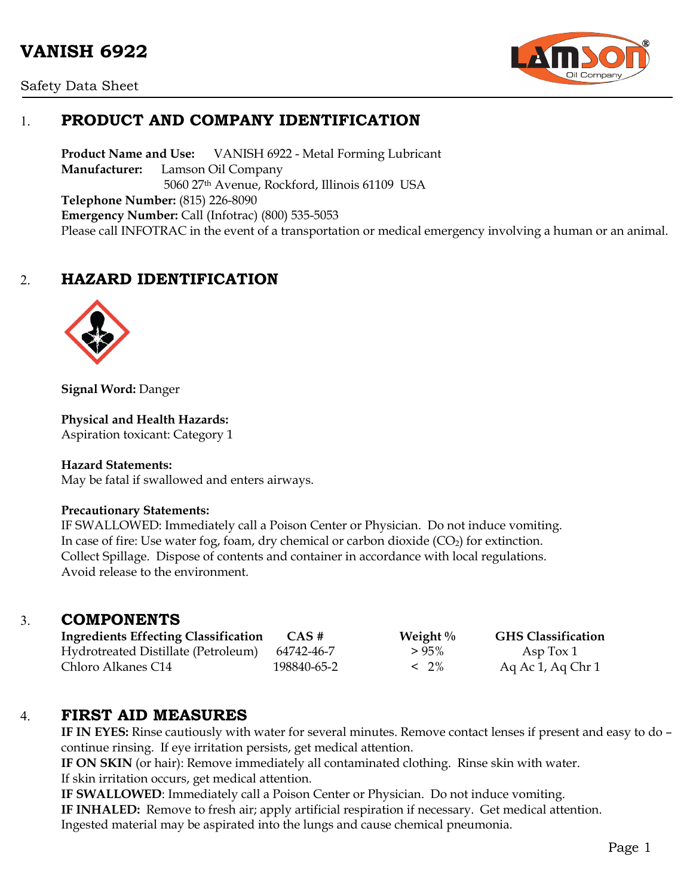# **VANISH 6922**





# 1. **PRODUCT AND COMPANY IDENTIFICATION**

**Product Name and Use:** VANISH 6922 - Metal Forming Lubricant **Manufacturer:** Lamson Oil Company 5060 27th Avenue, Rockford, Illinois 61109 USA **Telephone Number:** (815) 226-8090 **Emergency Number:** Call (Infotrac) (800) 535-5053 Please call INFOTRAC in the event of a transportation or medical emergency involving a human or an animal.

## 2. **HAZARD IDENTIFICATION**



**Signal Word:** Danger

#### **Physical and Health Hazards:**

Aspiration toxicant: Category 1

#### **Hazard Statements:**

May be fatal if swallowed and enters airways.

#### **Precautionary Statements:**

IF SWALLOWED: Immediately call a Poison Center or Physician. Do not induce vomiting. In case of fire: Use water fog, foam, dry chemical or carbon dioxide  $(CO_2)$  for extinction. Collect Spillage. Dispose of contents and container in accordance with local regulations. Avoid release to the environment.

### 3. **COMPONENTS**

| <b>Ingredients Effecting Classification</b> | CAS#        | Weight $\%$ | <b>GHS Classification</b> |
|---------------------------------------------|-------------|-------------|---------------------------|
| Hydrotreated Distillate (Petroleum)         | 64742-46-7  | $>95\%$     | Asp $Tox 1$               |
| Chloro Alkanes C14                          | 198840-65-2 | $< 2\%$     | Aq Ac 1, Aq Chr 1         |

### 4. **FIRST AID MEASURES**

**IF IN EYES:** Rinse cautiously with water for several minutes. Remove contact lenses if present and easy to do – continue rinsing. If eye irritation persists, get medical attention.

**IF ON SKIN** (or hair): Remove immediately all contaminated clothing. Rinse skin with water. If skin irritation occurs, get medical attention.

**IF SWALLOWED**: Immediately call a Poison Center or Physician. Do not induce vomiting. **IF INHALED:** Remove to fresh air; apply artificial respiration if necessary. Get medical attention. Ingested material may be aspirated into the lungs and cause chemical pneumonia.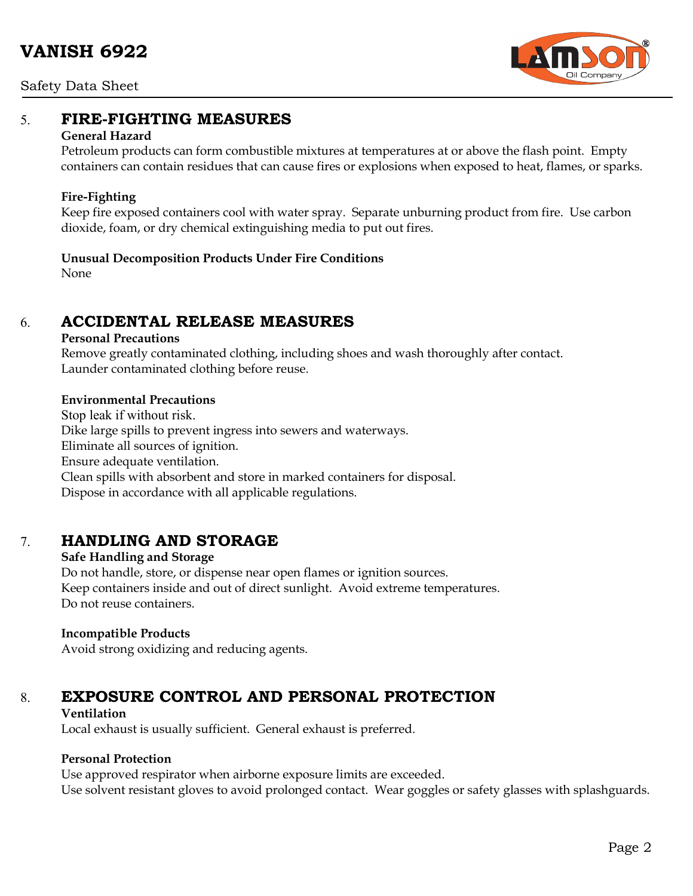Safety Data Sheet



### 5. **FIRE-FIGHTING MEASURES**

#### **General Hazard**

Petroleum products can form combustible mixtures at temperatures at or above the flash point. Empty containers can contain residues that can cause fires or explosions when exposed to heat, flames, or sparks.

#### **Fire-Fighting**

Keep fire exposed containers cool with water spray. Separate unburning product from fire. Use carbon dioxide, foam, or dry chemical extinguishing media to put out fires.

### **Unusual Decomposition Products Under Fire Conditions**

None

# 6. **ACCIDENTAL RELEASE MEASURES**

#### **Personal Precautions**

Remove greatly contaminated clothing, including shoes and wash thoroughly after contact. Launder contaminated clothing before reuse.

#### **Environmental Precautions**

Stop leak if without risk. Dike large spills to prevent ingress into sewers and waterways. Eliminate all sources of ignition. Ensure adequate ventilation. Clean spills with absorbent and store in marked containers for disposal. Dispose in accordance with all applicable regulations.

## 7. **HANDLING AND STORAGE**

**Safe Handling and Storage** Do not handle, store, or dispense near open flames or ignition sources. Keep containers inside and out of direct sunlight. Avoid extreme temperatures. Do not reuse containers.

### **Incompatible Products**

Avoid strong oxidizing and reducing agents.

# 8. **EXPOSURE CONTROL AND PERSONAL PROTECTION**

#### **Ventilation**

Local exhaust is usually sufficient. General exhaust is preferred.

### **Personal Protection**

Use approved respirator when airborne exposure limits are exceeded. Use solvent resistant gloves to avoid prolonged contact. Wear goggles or safety glasses with splashguards.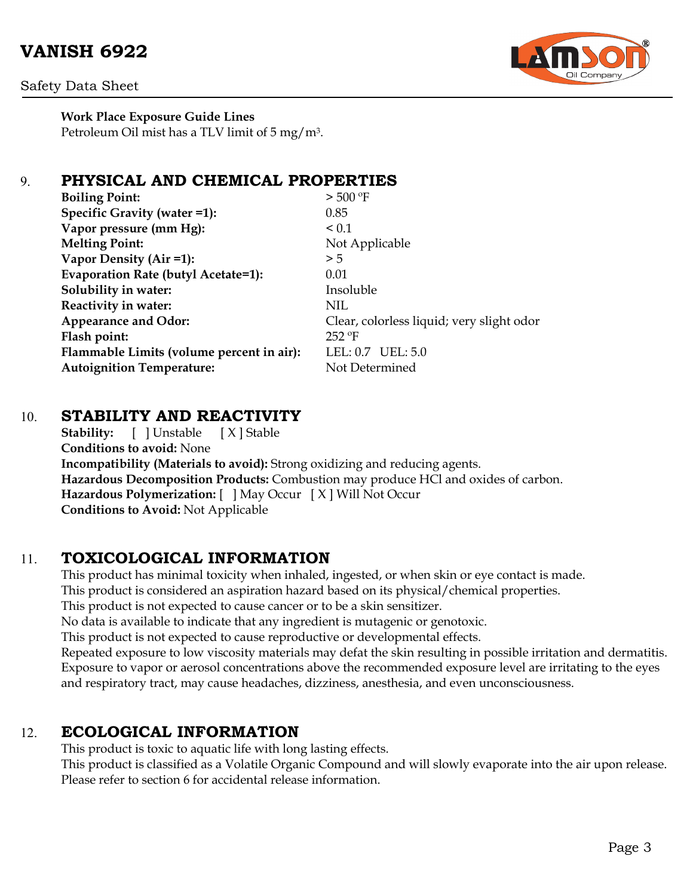# **VANISH 6922**



Safety Data Sheet

**Work Place Exposure Guide Lines** Petroleum Oil mist has a TLV limit of 5 mg/m3.

### 9. **PHYSICAL AND CHEMICAL PROPERTIES**

| <b>Boiling Point:</b>                     | $>$ 500 °F                                |
|-------------------------------------------|-------------------------------------------|
| Specific Gravity (water =1):              | 0.85                                      |
| Vapor pressure (mm Hg):                   | < 0.1                                     |
| <b>Melting Point:</b>                     | Not Applicable                            |
| Vapor Density (Air =1):                   | > 5                                       |
| Evaporation Rate (butyl Acetate=1):       | 0.01                                      |
| Solubility in water:                      | Insoluble                                 |
| Reactivity in water:                      | NIL                                       |
| <b>Appearance and Odor:</b>               | Clear, colorless liquid; very slight odor |
| Flash point:                              | $252$ °F                                  |
| Flammable Limits (volume percent in air): | LEL: $0.7$ UEL: $5.0$                     |
| <b>Autoignition Temperature:</b>          | Not Determined                            |
|                                           |                                           |

### 10. **STABILITY AND REACTIVITY**

**Stability:** [ ] Unstable [ X ] Stable **Conditions to avoid:** None **Incompatibility (Materials to avoid):** Strong oxidizing and reducing agents. **Hazardous Decomposition Products:** Combustion may produce HCl and oxides of carbon. **Hazardous Polymerization:** [ ] May Occur [ X ] Will Not Occur **Conditions to Avoid:** Not Applicable

## 11. **TOXICOLOGICAL INFORMATION**

This product has minimal toxicity when inhaled, ingested, or when skin or eye contact is made. This product is considered an aspiration hazard based on its physical/chemical properties. This product is not expected to cause cancer or to be a skin sensitizer. No data is available to indicate that any ingredient is mutagenic or genotoxic. This product is not expected to cause reproductive or developmental effects. Repeated exposure to low viscosity materials may defat the skin resulting in possible irritation and dermatitis. Exposure to vapor or aerosol concentrations above the recommended exposure level are irritating to the eyes and respiratory tract, may cause headaches, dizziness, anesthesia, and even unconsciousness.

## 12. **ECOLOGICAL INFORMATION**

This product is toxic to aquatic life with long lasting effects.

This product is classified as a Volatile Organic Compound and will slowly evaporate into the air upon release. Please refer to section 6 for accidental release information.